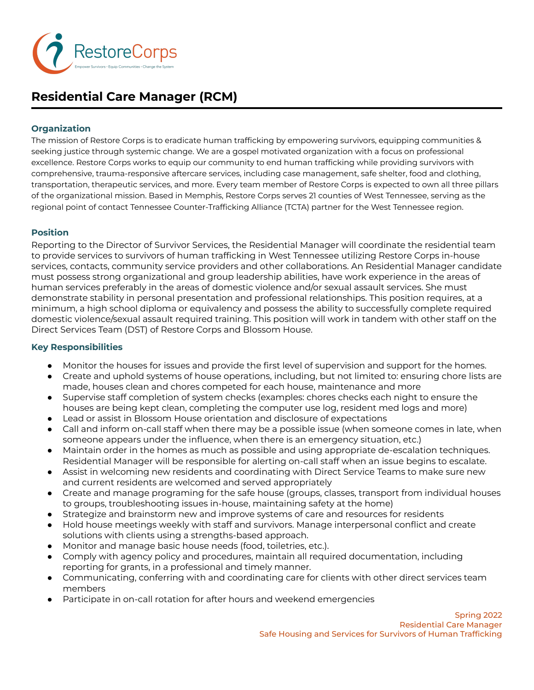

# **Residential Care Manager (RCM)**

# **Organization**

The mission of Restore Corps is to eradicate human trafficking by empowering survivors, equipping communities & seeking justice through systemic change. We are a gospel motivated organization with a focus on professional excellence. Restore Corps works to equip our community to end human trafficking while providing survivors with comprehensive, trauma-responsive aftercare services, including case management, safe shelter, food and clothing, transportation, therapeutic services, and more. Every team member of Restore Corps is expected to own all three pillars of the organizational mission. Based in Memphis, Restore Corps serves 21 counties of West Tennessee, serving as the regional point of contact Tennessee Counter-Trafficking Alliance (TCTA) partner for the West Tennessee region.

# **Position**

Reporting to the Director of Survivor Services, the Residential Manager will coordinate the residential team to provide services to survivors of human trafficking in West Tennessee utilizing Restore Corps in-house services, contacts, community service providers and other collaborations. An Residential Manager candidate must possess strong organizational and group leadership abilities, have work experience in the areas of human services preferably in the areas of domestic violence and/or sexual assault services. She must demonstrate stability in personal presentation and professional relationships. This position requires, at a minimum, a high school diploma or equivalency and possess the ability to successfully complete required domestic violence/sexual assault required training. This position will work in tandem with other staff on the Direct Services Team (DST) of Restore Corps and Blossom House.

## **Key Responsibilities**

- Monitor the houses for issues and provide the first level of supervision and support for the homes.
- Create and uphold systems of house operations, including, but not limited to: ensuring chore lists are made, houses clean and chores competed for each house, maintenance and more
- Supervise staff completion of system checks (examples: chores checks each night to ensure the houses are being kept clean, completing the computer use log, resident med logs and more)
- Lead or assist in Blossom House orientation and disclosure of expectations
- Call and inform on-call staff when there may be a possible issue (when someone comes in late, when someone appears under the influence, when there is an emergency situation, etc.)
- Maintain order in the homes as much as possible and using appropriate de-escalation techniques. Residential Manager will be responsible for alerting on-call staff when an issue begins to escalate.
- Assist in welcoming new residents and coordinating with Direct Service Teams to make sure new and current residents are welcomed and served appropriately
- Create and manage programing for the safe house (groups, classes, transport from individual houses to groups, troubleshooting issues in-house, maintaining safety at the home)
- Strategize and brainstorm new and improve systems of care and resources for residents
- Hold house meetings weekly with staff and survivors. Manage interpersonal conflict and create solutions with clients using a strengths-based approach.
- Monitor and manage basic house needs (food, toiletries, etc.).
- Comply with agency policy and procedures, maintain all required documentation, including reporting for grants, in a professional and timely manner.
- Communicating, conferring with and coordinating care for clients with other direct services team members
- Participate in on-call rotation for after hours and weekend emergencies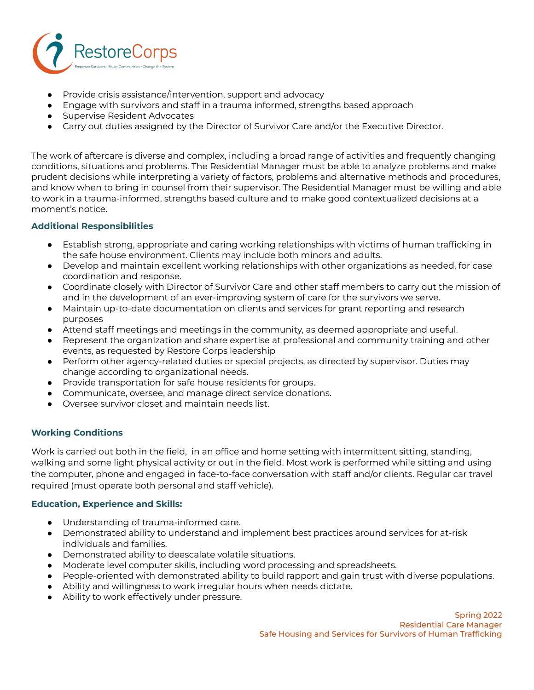

- Provide crisis assistance/intervention, support and advocacy
- Engage with survivors and staff in a trauma informed, strengths based approach
- Supervise Resident Advocates
- Carry out duties assigned by the Director of Survivor Care and/or the Executive Director.

The work of aftercare is diverse and complex, including a broad range of activities and frequently changing conditions, situations and problems. The Residential Manager must be able to analyze problems and make prudent decisions while interpreting a variety of factors, problems and alternative methods and procedures, and know when to bring in counsel from their supervisor. The Residential Manager must be willing and able to work in a trauma-informed, strengths based culture and to make good contextualized decisions at a moment's notice.

## **Additional Responsibilities**

- Establish strong, appropriate and caring working relationships with victims of human trafficking in the safe house environment. Clients may include both minors and adults.
- Develop and maintain excellent working relationships with other organizations as needed, for case coordination and response.
- Coordinate closely with Director of Survivor Care and other staff members to carry out the mission of and in the development of an ever-improving system of care for the survivors we serve.
- Maintain up-to-date documentation on clients and services for grant reporting and research purposes
- Attend staff meetings and meetings in the community, as deemed appropriate and useful.
- Represent the organization and share expertise at professional and community training and other events, as requested by Restore Corps leadership
- Perform other agency-related duties or special projects, as directed by supervisor. Duties may change according to organizational needs.
- Provide transportation for safe house residents for groups.
- Communicate, oversee, and manage direct service donations.
- Oversee survivor closet and maintain needs list.

### **Working Conditions**

Work is carried out both in the field, in an office and home setting with intermittent sitting, standing, walking and some light physical activity or out in the field. Most work is performed while sitting and using the computer, phone and engaged in face-to-face conversation with staff and/or clients. Regular car travel required (must operate both personal and staff vehicle).

### **Education, Experience and Skills:**

- Understanding of trauma-informed care.
- Demonstrated ability to understand and implement best practices around services for at-risk individuals and families.
- Demonstrated ability to deescalate volatile situations.
- Moderate level computer skills, including word processing and spreadsheets.
- People-oriented with demonstrated ability to build rapport and gain trust with diverse populations.
- Ability and willingness to work irregular hours when needs dictate.
- Ability to work effectively under pressure.